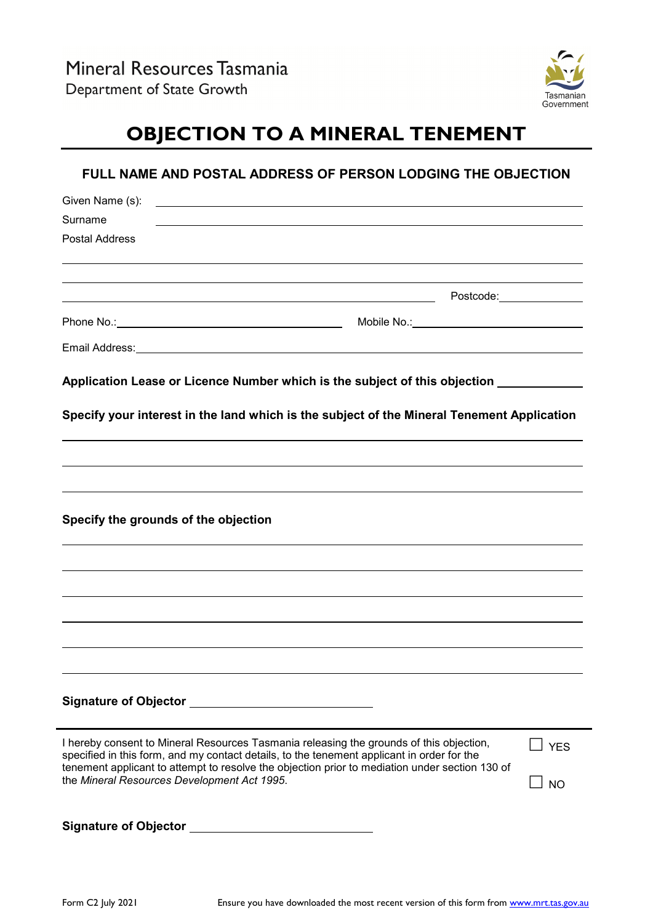

# **OBJECTION TO A MINERAL TENEMENT**

| Given Name (s):<br><u> 1989 - Johann Harry Harry Harry Harry Harry Harry Harry Harry Harry Harry Harry Harry Harry Harry Harry Harry Harry Harry Harry Harry Harry Harry Harry Harry Harry Harry Harry Harry Harry Harry Harry Harry Harry Harry Ha</u>                                                                                |            |
|----------------------------------------------------------------------------------------------------------------------------------------------------------------------------------------------------------------------------------------------------------------------------------------------------------------------------------------|------------|
| Surname<br>,我们也不会有什么。""我们的人,我们也不会有什么?""我们的人,我们也不会有什么?""我们的人,我们也不会有什么?""我们的人,我们也不会有什么?""我们的人                                                                                                                                                                                                                                            |            |
| <b>Postal Address</b>                                                                                                                                                                                                                                                                                                                  |            |
|                                                                                                                                                                                                                                                                                                                                        |            |
|                                                                                                                                                                                                                                                                                                                                        |            |
| Mobile No.:__________________________________                                                                                                                                                                                                                                                                                          |            |
| Email Address: Universe of the American Second Contract of the American Second Contract of the American Second                                                                                                                                                                                                                         |            |
| Application Lease or Licence Number which is the subject of this objection ___________                                                                                                                                                                                                                                                 |            |
|                                                                                                                                                                                                                                                                                                                                        |            |
| Specify your interest in the land which is the subject of the Mineral Tenement Application                                                                                                                                                                                                                                             |            |
|                                                                                                                                                                                                                                                                                                                                        |            |
|                                                                                                                                                                                                                                                                                                                                        |            |
|                                                                                                                                                                                                                                                                                                                                        |            |
|                                                                                                                                                                                                                                                                                                                                        |            |
|                                                                                                                                                                                                                                                                                                                                        |            |
| Specify the grounds of the objection                                                                                                                                                                                                                                                                                                   |            |
| ,我们也不会有什么。""我们的人,我们也不会有什么?""我们的人,我们也不会有什么?""我们的人,我们也不会有什么?""我们的人,我们也不会有什么?""我们的人                                                                                                                                                                                                                                                       |            |
|                                                                                                                                                                                                                                                                                                                                        |            |
|                                                                                                                                                                                                                                                                                                                                        |            |
|                                                                                                                                                                                                                                                                                                                                        |            |
|                                                                                                                                                                                                                                                                                                                                        |            |
|                                                                                                                                                                                                                                                                                                                                        |            |
|                                                                                                                                                                                                                                                                                                                                        |            |
|                                                                                                                                                                                                                                                                                                                                        |            |
|                                                                                                                                                                                                                                                                                                                                        | <b>YES</b> |
| I hereby consent to Mineral Resources Tasmania releasing the grounds of this objection,<br>specified in this form, and my contact details, to the tenement applicant in order for the<br>tenement applicant to attempt to resolve the objection prior to mediation under section 130 of<br>the Mineral Resources Development Act 1995. | <b>NO</b>  |
|                                                                                                                                                                                                                                                                                                                                        |            |